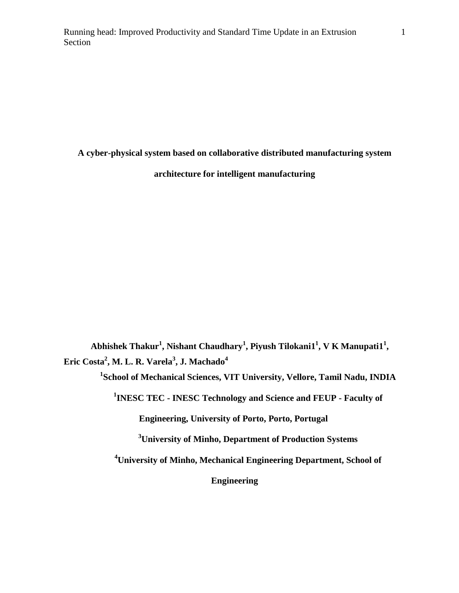**A cyber-physical system based on collaborative distributed manufacturing system** 

**architecture for intelligent manufacturing**

Abhishek Thakur<sup>1</sup>, Nishant Chaudhary<sup>1</sup>, Piyush Tilokani1<sup>1</sup>, V K Manupati1<sup>1</sup>, **Eric Costa<sup>2</sup> , M. L. R. Varela<sup>3</sup> , J. Machado<sup>4</sup>**

**1 School of Mechanical Sciences, VIT University, Vellore, Tamil Nadu, INDIA**

**1 INESC TEC - INESC Technology and Science and FEUP - Faculty of** 

**Engineering, University of Porto, Porto, Portugal**

**<sup>3</sup>University of Minho, Department of Production Systems**

**<sup>4</sup>University of Minho, Mechanical Engineering Department, School of** 

**Engineering**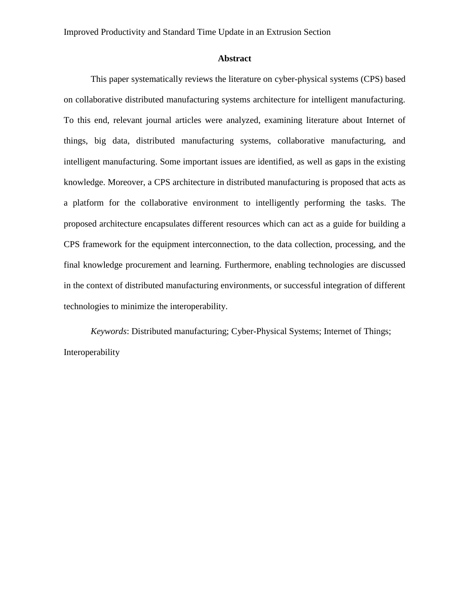# **Abstract**

This paper systematically reviews the literature on cyber-physical systems (CPS) based on collaborative distributed manufacturing systems architecture for intelligent manufacturing. To this end, relevant journal articles were analyzed, examining literature about Internet of things, big data, distributed manufacturing systems, collaborative manufacturing, and intelligent manufacturing. Some important issues are identified, as well as gaps in the existing knowledge. Moreover, a CPS architecture in distributed manufacturing is proposed that acts as a platform for the collaborative environment to intelligently performing the tasks. The proposed architecture encapsulates different resources which can act as a guide for building a CPS framework for the equipment interconnection, to the data collection, processing, and the final knowledge procurement and learning. Furthermore, enabling technologies are discussed in the context of distributed manufacturing environments, or successful integration of different technologies to minimize the interoperability.

*Keywords*: Distributed manufacturing; Cyber-Physical Systems; Internet of Things; Interoperability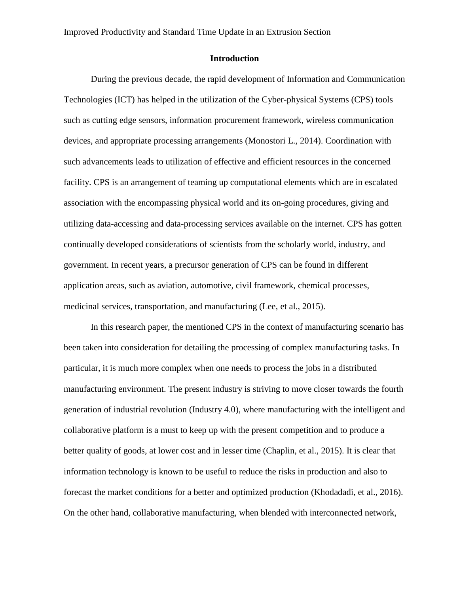#### **Introduction**

During the previous decade, the rapid development of Information and Communication Technologies (ICT) has helped in the utilization of the Cyber-physical Systems (CPS) tools such as cutting edge sensors, information procurement framework, wireless communication devices, and appropriate processing arrangements (Monostori L., 2014). Coordination with such advancements leads to utilization of effective and efficient resources in the concerned facility. CPS is an arrangement of teaming up computational elements which are in escalated association with the encompassing physical world and its on-going procedures, giving and utilizing data-accessing and data-processing services available on the internet. CPS has gotten continually developed considerations of scientists from the scholarly world, industry, and government. In recent years, a precursor generation of CPS can be found in different application areas, such as aviation, automotive, civil framework, chemical processes, medicinal services, transportation, and manufacturing (Lee, et al., 2015).

In this research paper, the mentioned CPS in the context of manufacturing scenario has been taken into consideration for detailing the processing of complex manufacturing tasks. In particular, it is much more complex when one needs to process the jobs in a distributed manufacturing environment. The present industry is striving to move closer towards the fourth generation of industrial revolution (Industry 4.0), where manufacturing with the intelligent and collaborative platform is a must to keep up with the present competition and to produce a better quality of goods, at lower cost and in lesser time (Chaplin, et al., 2015). It is clear that information technology is known to be useful to reduce the risks in production and also to forecast the market conditions for a better and optimized production (Khodadadi, et al., 2016). On the other hand, collaborative manufacturing, when blended with interconnected network,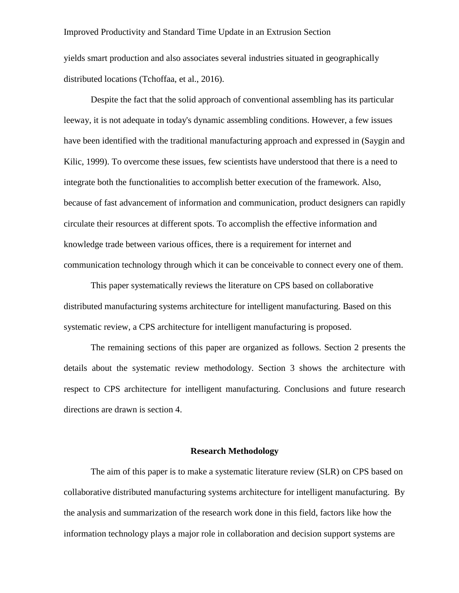yields smart production and also associates several industries situated in geographically distributed locations (Tchoffaa, et al., 2016).

Despite the fact that the solid approach of conventional assembling has its particular leeway, it is not adequate in today's dynamic assembling conditions. However, a few issues have been identified with the traditional manufacturing approach and expressed in (Saygin and Kilic, 1999). To overcome these issues, few scientists have understood that there is a need to integrate both the functionalities to accomplish better execution of the framework. Also, because of fast advancement of information and communication, product designers can rapidly circulate their resources at different spots. To accomplish the effective information and knowledge trade between various offices, there is a requirement for internet and communication technology through which it can be conceivable to connect every one of them.

This paper systematically reviews the literature on CPS based on collaborative distributed manufacturing systems architecture for intelligent manufacturing. Based on this systematic review, a CPS architecture for intelligent manufacturing is proposed.

The remaining sections of this paper are organized as follows. Section 2 presents the details about the systematic review methodology. Section 3 shows the architecture with respect to CPS architecture for intelligent manufacturing. Conclusions and future research directions are drawn is section 4.

#### **Research Methodology**

The aim of this paper is to make a systematic literature review (SLR) on CPS based on collaborative distributed manufacturing systems architecture for intelligent manufacturing. By the analysis and summarization of the research work done in this field, factors like how the information technology plays a major role in collaboration and decision support systems are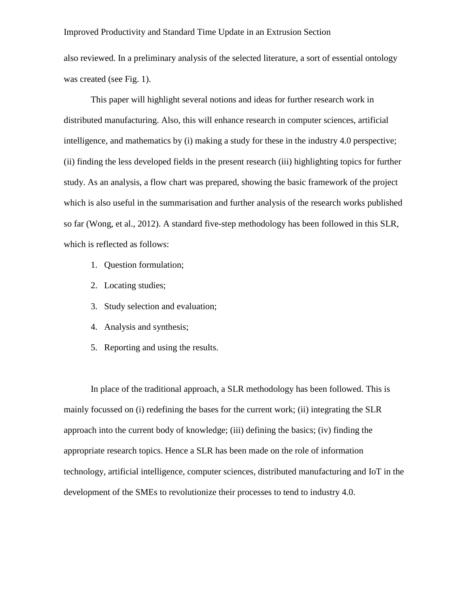also reviewed. In a preliminary analysis of the selected literature, a sort of essential ontology was created (see Fig. 1).

This paper will highlight several notions and ideas for further research work in distributed manufacturing. Also, this will enhance research in computer sciences, artificial intelligence, and mathematics by (i) making a study for these in the industry 4.0 perspective; (ii) finding the less developed fields in the present research (iii) highlighting topics for further study. As an analysis, a flow chart was prepared, showing the basic framework of the project which is also useful in the summarisation and further analysis of the research works published so far (Wong, et al., 2012). A standard five-step methodology has been followed in this SLR, which is reflected as follows:

- 1. Question formulation;
- 2. Locating studies;
- 3. Study selection and evaluation;
- 4. Analysis and synthesis;
- 5. Reporting and using the results.

In place of the traditional approach, a SLR methodology has been followed. This is mainly focussed on (i) redefining the bases for the current work; (ii) integrating the SLR approach into the current body of knowledge; (iii) defining the basics; (iv) finding the appropriate research topics. Hence a SLR has been made on the role of information technology, artificial intelligence, computer sciences, distributed manufacturing and IoT in the development of the SMEs to revolutionize their processes to tend to industry 4.0.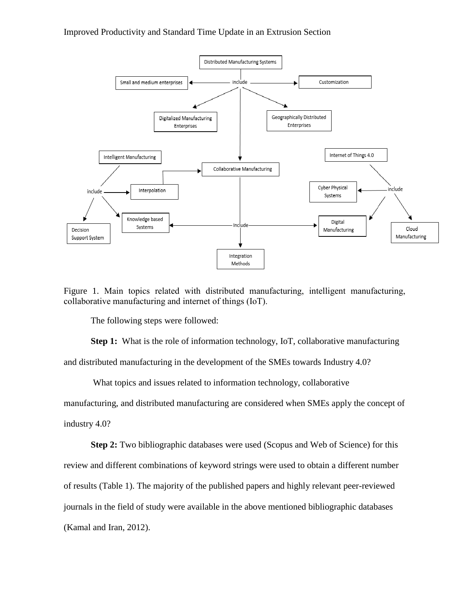

Figure 1. Main topics related with distributed manufacturing, intelligent manufacturing, collaborative manufacturing and internet of things (IoT).

The following steps were followed:

**Step 1:** What is the role of information technology, IoT, collaborative manufacturing and distributed manufacturing in the development of the SMEs towards Industry 4.0?

What topics and issues related to information technology, collaborative

manufacturing, and distributed manufacturing are considered when SMEs apply the concept of industry 4.0?

**Step 2:** Two bibliographic databases were used (Scopus and Web of Science) for this review and different combinations of keyword strings were used to obtain a different number of results (Table 1). The majority of the published papers and highly relevant peer-reviewed journals in the field of study were available in the above mentioned bibliographic databases (Kamal and Iran, 2012).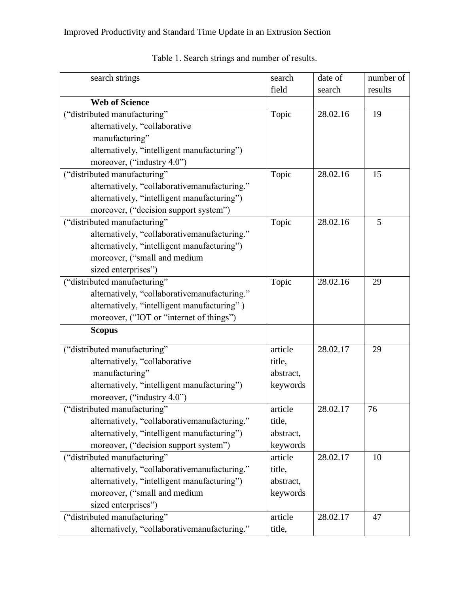| search strings                               | search    | date of  | number of |
|----------------------------------------------|-----------|----------|-----------|
|                                              | field     | search   | results   |
| <b>Web of Science</b>                        |           |          |           |
| ("distributed manufacturing"                 | Topic     | 28.02.16 | 19        |
| alternatively, "collaborative                |           |          |           |
| manufacturing"                               |           |          |           |
| alternatively, "intelligent manufacturing")  |           |          |           |
| moreover, ("industry 4.0")                   |           |          |           |
| ("distributed manufacturing"                 | Topic     | 28.02.16 | 15        |
| alternatively, "collaborativemanufacturing." |           |          |           |
| alternatively, "intelligent manufacturing")  |           |          |           |
| moreover, ("decision support system")        |           |          |           |
| ("distributed manufacturing"                 | Topic     | 28.02.16 | 5         |
| alternatively, "collaborativemanufacturing." |           |          |           |
| alternatively, "intelligent manufacturing")  |           |          |           |
| moreover, ("small and medium                 |           |          |           |
| sized enterprises")                          |           |          |           |
| ("distributed manufacturing"                 | Topic     | 28.02.16 | 29        |
| alternatively, "collaborativemanufacturing." |           |          |           |
| alternatively, "intelligent manufacturing")  |           |          |           |
| moreover, ("IOT or "internet of things")     |           |          |           |
| <b>Scopus</b>                                |           |          |           |
| ("distributed manufacturing"                 | article   | 28.02.17 | 29        |
| alternatively, "collaborative                | title,    |          |           |
| manufacturing"                               | abstract, |          |           |
| alternatively, "intelligent manufacturing")  | keywords  |          |           |
| moreover, ("industry 4.0")                   |           |          |           |
| ("distributed manufacturing"                 | article   | 28.02.17 | 76        |
| alternatively, "collaborativemanufacturing." | title,    |          |           |
| alternatively, "intelligent manufacturing")  | abstract, |          |           |
| moreover, ("decision support system")        | keywords  |          |           |
| ("distributed manufacturing"                 | article   | 28.02.17 | 10        |
| alternatively, "collaborativemanufacturing." | title,    |          |           |
| alternatively, "intelligent manufacturing")  | abstract, |          |           |
| moreover, ("small and medium                 | keywords  |          |           |
| sized enterprises")                          |           |          |           |
| ("distributed manufacturing"                 | article   | 28.02.17 | 47        |
| alternatively, "collaborativemanufacturing." | title,    |          |           |

Table 1. Search strings and number of results.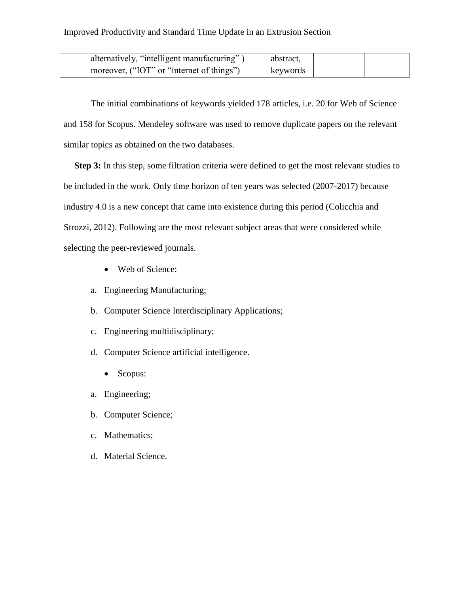| alternatively, "intelligent manufacturing" | abstract, |  |
|--------------------------------------------|-----------|--|
| moreover, ("IOT" or "internet of things")  | keywords  |  |

The initial combinations of keywords yielded 178 articles, i.e. 20 for Web of Science and 158 for Scopus. Mendeley software was used to remove duplicate papers on the relevant similar topics as obtained on the two databases.

**Step 3:** In this step, some filtration criteria were defined to get the most relevant studies to be included in the work. Only time horizon of ten years was selected (2007-2017) because industry 4.0 is a new concept that came into existence during this period (Colicchia and Strozzi, 2012). Following are the most relevant subject areas that were considered while selecting the peer-reviewed journals.

- Web of Science:
- a. Engineering Manufacturing;
- b. Computer Science Interdisciplinary Applications;
- c. Engineering multidisciplinary;
- d. Computer Science artificial intelligence.
	- Scopus:
- a. Engineering;
- b. Computer Science;
- c. Mathematics;
- d. Material Science.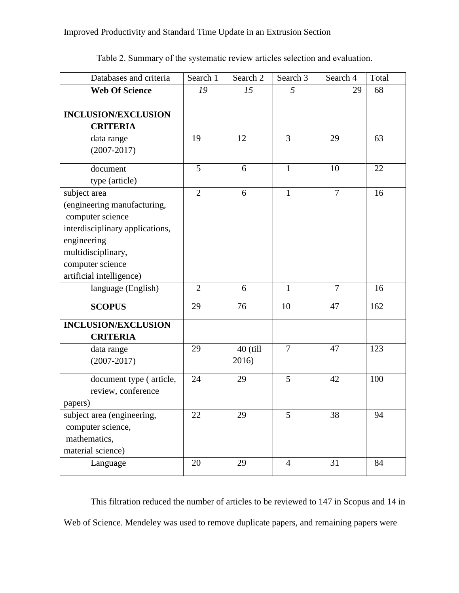| Databases and criteria          | Search 1       | Search 2 | Search 3       | Search 4       | Total |
|---------------------------------|----------------|----------|----------------|----------------|-------|
| <b>Web Of Science</b>           | 19             | 15       | 5              | 29             | 68    |
|                                 |                |          |                |                |       |
| <b>INCLUSION/EXCLUSION</b>      |                |          |                |                |       |
| <b>CRITERIA</b>                 |                |          |                |                |       |
| data range                      | 19             | 12       | $\overline{3}$ | 29             | 63    |
| $(2007 - 2017)$                 |                |          |                |                |       |
| document                        | 5              | 6        | $\mathbf{1}$   | 10             | 22    |
| type (article)                  |                |          |                |                |       |
| subject area                    | $\overline{2}$ | 6        | $\mathbf{1}$   | $\overline{7}$ | 16    |
| (engineering manufacturing,     |                |          |                |                |       |
| computer science                |                |          |                |                |       |
| interdisciplinary applications, |                |          |                |                |       |
| engineering                     |                |          |                |                |       |
| multidisciplinary,              |                |          |                |                |       |
| computer science                |                |          |                |                |       |
| artificial intelligence)        |                |          |                |                |       |
| language (English)              | $\overline{2}$ | 6        | $\mathbf{1}$   | $\overline{7}$ | 16    |
| <b>SCOPUS</b>                   | 29             | 76       | 10             | 47             | 162   |
| <b>INCLUSION/EXCLUSION</b>      |                |          |                |                |       |
| <b>CRITERIA</b>                 |                |          |                |                |       |
| data range                      | 29             | 40 (till | $\overline{7}$ | 47             | 123   |
| $(2007 - 2017)$                 |                | 2016)    |                |                |       |
| document type (article,         | 24             | 29       | 5              | 42             | 100   |
| review, conference              |                |          |                |                |       |
| papers)                         |                |          |                |                |       |
| subject area (engineering,      | 22             | 29       | 5              | 38             | 94    |
| computer science,               |                |          |                |                |       |
| mathematics,                    |                |          |                |                |       |
| material science)               |                |          |                |                |       |
| Language                        | 20             | 29       | $\overline{4}$ | 31             | 84    |

Table 2. Summary of the systematic review articles selection and evaluation.

This filtration reduced the number of articles to be reviewed to 147 in Scopus and 14 in Web of Science. Mendeley was used to remove duplicate papers, and remaining papers were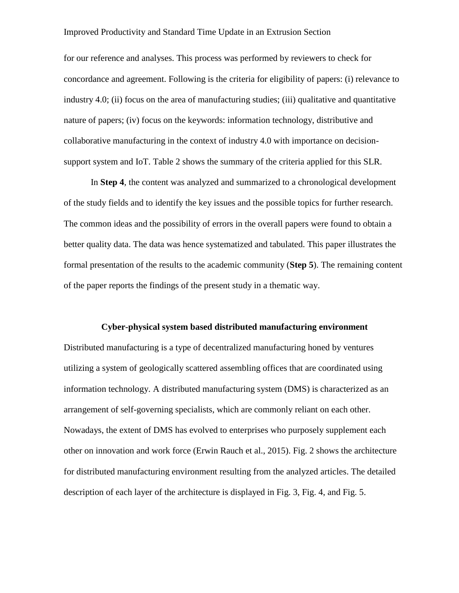for our reference and analyses. This process was performed by reviewers to check for concordance and agreement. Following is the criteria for eligibility of papers: (i) relevance to industry 4.0; (ii) focus on the area of manufacturing studies; (iii) qualitative and quantitative nature of papers; (iv) focus on the keywords: information technology, distributive and collaborative manufacturing in the context of industry 4.0 with importance on decisionsupport system and IoT. Table 2 shows the summary of the criteria applied for this SLR.

In **Step 4**, the content was analyzed and summarized to a chronological development of the study fields and to identify the key issues and the possible topics for further research. The common ideas and the possibility of errors in the overall papers were found to obtain a better quality data. The data was hence systematized and tabulated. This paper illustrates the formal presentation of the results to the academic community (**Step 5**). The remaining content of the paper reports the findings of the present study in a thematic way.

#### **Cyber-physical system based distributed manufacturing environment**

Distributed manufacturing is a type of decentralized manufacturing honed by ventures utilizing a system of geologically scattered assembling offices that are coordinated using information technology. A distributed manufacturing system (DMS) is characterized as an arrangement of self-governing specialists, which are commonly reliant on each other. Nowadays, the extent of DMS has evolved to enterprises who purposely supplement each other on innovation and work force (Erwin Rauch et al., 2015). Fig. 2 shows the architecture for distributed manufacturing environment resulting from the analyzed articles. The detailed description of each layer of the architecture is displayed in Fig. 3, Fig. 4, and Fig. 5.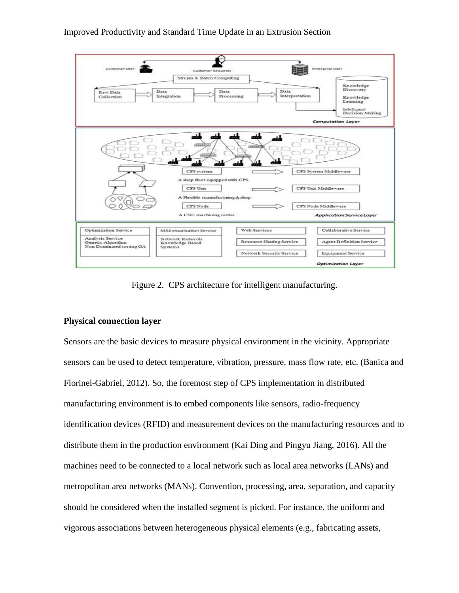

Figure 2.CPS architecture for intelligent manufacturing.

# **Physical connection layer**

Sensors are the basic devices to measure physical environment in the vicinity. Appropriate sensors can be used to detect temperature, vibration, pressure, mass flow rate, etc. (Banica and Florinel-Gabriel, 2012). So, the foremost step of CPS implementation in distributed manufacturing environment is to embed components like sensors, radio-frequency identification devices (RFID) and measurement devices on the manufacturing resources and to distribute them in the production environment (Kai Ding and Pingyu Jiang, 2016). All the machines need to be connected to a local network such as local area networks (LANs) and metropolitan area networks (MANs). Convention, processing, area, separation, and capacity should be considered when the installed segment is picked. For instance, the uniform and vigorous associations between heterogeneous physical elements (e.g., fabricating assets,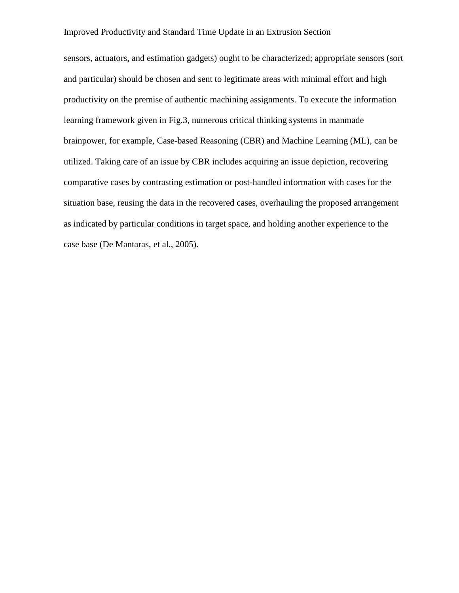sensors, actuators, and estimation gadgets) ought to be characterized; appropriate sensors (sort and particular) should be chosen and sent to legitimate areas with minimal effort and high productivity on the premise of authentic machining assignments. To execute the information learning framework given in Fig.3, numerous critical thinking systems in manmade brainpower, for example, Case-based Reasoning (CBR) and Machine Learning (ML), can be utilized. Taking care of an issue by CBR includes acquiring an issue depiction, recovering comparative cases by contrasting estimation or post-handled information with cases for the situation base, reusing the data in the recovered cases, overhauling the proposed arrangement as indicated by particular conditions in target space, and holding another experience to the case base (De Mantaras, et al., 2005).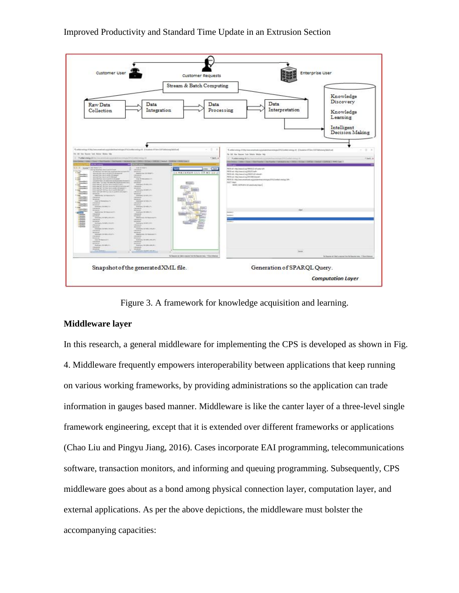

Figure 3. A framework for knowledge acquisition and learning.

#### **Middleware layer**

In this research, a general middleware for implementing the CPS is developed as shown in Fig. 4. Middleware frequently empowers interoperability between applications that keep running on various working frameworks, by providing administrations so the application can trade information in gauges based manner. Middleware is like the canter layer of a three-level single framework engineering, except that it is extended over different frameworks or applications (Chao Liu and Pingyu Jiang, 2016). Cases incorporate EAI programming, telecommunications software, transaction monitors, and informing and queuing programming. Subsequently, CPS middleware goes about as a bond among physical connection layer, computation layer, and external applications. As per the above depictions, the middleware must bolster the accompanying capacities: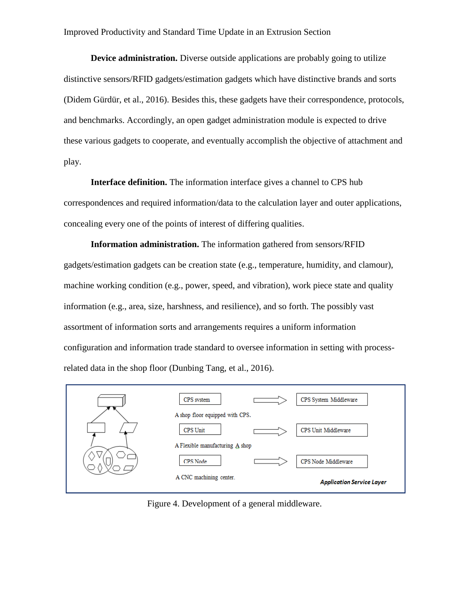**Device administration.** Diverse outside applications are probably going to utilize distinctive sensors/RFID gadgets/estimation gadgets which have distinctive brands and sorts (Didem Gürdür, et al., 2016). Besides this, these gadgets have their correspondence, protocols, and benchmarks. Accordingly, an open gadget administration module is expected to drive these various gadgets to cooperate, and eventually accomplish the objective of attachment and play.

**Interface definition.** The information interface gives a channel to CPS hub correspondences and required information/data to the calculation layer and outer applications, concealing every one of the points of interest of differing qualities.

**Information administration.** The information gathered from sensors/RFID gadgets/estimation gadgets can be creation state (e.g., temperature, humidity, and clamour), machine working condition (e.g., power, speed, and vibration), work piece state and quality information (e.g., area, size, harshness, and resilience), and so forth. The possibly vast assortment of information sorts and arrangements requires a uniform information configuration and information trade standard to oversee information in setting with processrelated data in the shop floor (Dunbing Tang, et al., 2016).



Figure 4. Development of a general middleware.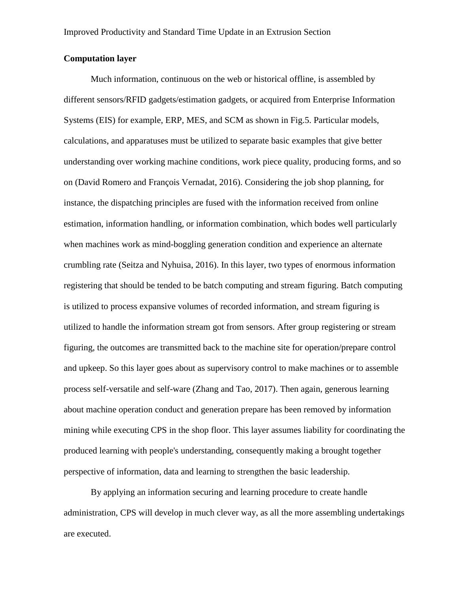# **Computation layer**

Much information, continuous on the web or historical offline, is assembled by different sensors/RFID gadgets/estimation gadgets, or acquired from Enterprise Information Systems (EIS) for example, ERP, MES, and SCM as shown in Fig.5. Particular models, calculations, and apparatuses must be utilized to separate basic examples that give better understanding over working machine conditions, work piece quality, producing forms, and so on (David Romero and François Vernadat, 2016). Considering the job shop planning, for instance, the dispatching principles are fused with the information received from online estimation, information handling, or information combination, which bodes well particularly when machines work as mind-boggling generation condition and experience an alternate crumbling rate (Seitza and Nyhuisa, 2016). In this layer, two types of enormous information registering that should be tended to be batch computing and stream figuring. Batch computing is utilized to process expansive volumes of recorded information, and stream figuring is utilized to handle the information stream got from sensors. After group registering or stream figuring, the outcomes are transmitted back to the machine site for operation/prepare control and upkeep. So this layer goes about as supervisory control to make machines or to assemble process self-versatile and self-ware (Zhang and Tao, 2017). Then again, generous learning about machine operation conduct and generation prepare has been removed by information mining while executing CPS in the shop floor. This layer assumes liability for coordinating the produced learning with people's understanding, consequently making a brought together perspective of information, data and learning to strengthen the basic leadership.

By applying an information securing and learning procedure to create handle administration, CPS will develop in much clever way, as all the more assembling undertakings are executed.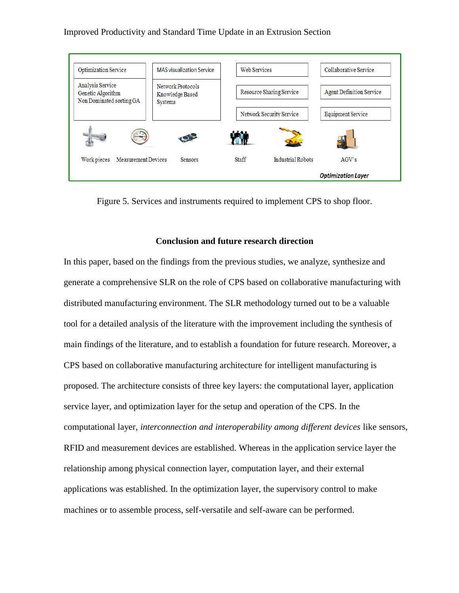

Figure 5. Services and instruments required to implement CPS to shop floor.

### **Conclusion and future research direction**

In this paper, based on the findings from the previous studies, we analyze, synthesize and generate a comprehensive SLR on the role of CPS based on collaborative manufacturing with distributed manufacturing environment. The SLR methodology turned out to be a valuable tool for a detailed analysis of the literature with the improvement including the synthesis of main findings of the literature, and to establish a foundation for future research. Moreover, a CPS based on collaborative manufacturing architecture for intelligent manufacturing is proposed. The architecture consists of three key layers: the computational layer, application service layer, and optimization layer for the setup and operation of the CPS. In the computational layer*, interconnection and interoperability among different devices* like sensors, RFID and measurement devices are established. Whereas in the application service layer the relationship among physical connection layer, computation layer, and their external applications was established. In the optimization layer, the supervisory control to make machines or to assemble process, self-versatile and self-aware can be performed.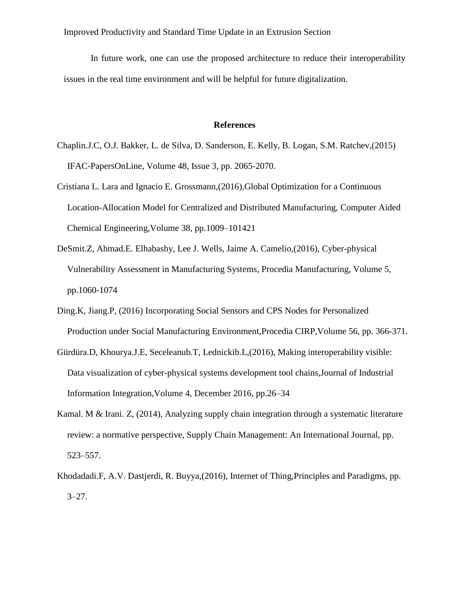In future work, one can use the proposed architecture to reduce their interoperability issues in the real time environment and will be helpful for future digitalization.

### **References**

- Chaplin.J.C, O.J. Bakker, L. de Silva, D. Sanderson, E. Kelly, B. Logan, S.M. Ratchev,(2015) IFAC-PapersOnLine, Volume 48, Issue 3, pp. 2065-2070.
- Cristiana L. Lara and Ignacio E. Grossmann,(2016),Global Optimization for a Continuous Location-Allocation Model for Centralized and Distributed Manufacturing, [Computer Aided](http://www.sciencedirect.com/science/bookseries/15707946)  [Chemical Engineering,](http://www.sciencedirect.com/science/bookseries/15707946)Volume 38, pp.1009–101421
- DeSmit.Z, Ahmad.E. Elhabashy, Lee J. Wells, Jaime A. Camelio,(2016), Cyber-physical Vulnerability Assessment in Manufacturing Systems, Procedia Manufacturing, Volume 5, pp.1060-1074
- Ding.K, Jiang.P, (2016) Incorporating Social Sensors and CPS Nodes for Personalized Production under Social Manufacturing Environment,Procedia CIRP,Volume 56, pp. 366-371.
- Gürdüra.D, Khourya.J.E, Seceleanub.T, Lednickib.L,(2016), Making interoperability visible: Data visualization of cyber-physical systems development tool chains,Journal of Industrial Information Integration,Volume 4, December 2016, pp.26–34
- Kamal. M & Irani. Z, (2014), Analyzing supply chain integration through a systematic literature review: a normative perspective, Supply Chain Management: An International Journal, pp. 523–557.
- Khodadadi.F, A.V. Dastjerdi, R. Buyya,(2016), Internet of Thing,Principles and Paradigms, pp.  $3 - 27$ .